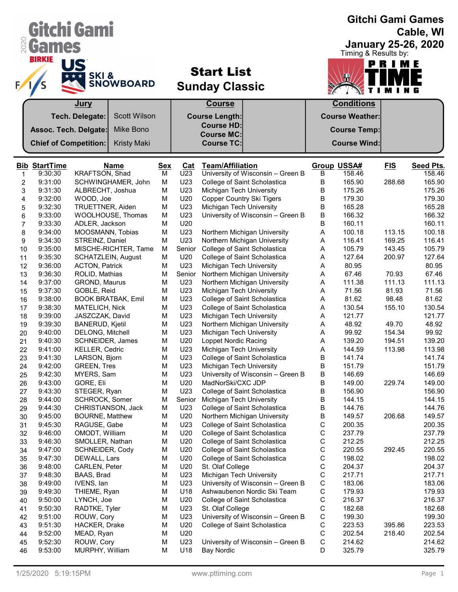|                  |                              | Gitchi Gami                               |            |            |                                                              |             |                                      |            | <b>Gitchi Gami Games</b><br>Cable, WI |
|------------------|------------------------------|-------------------------------------------|------------|------------|--------------------------------------------------------------|-------------|--------------------------------------|------------|---------------------------------------|
| 020              | <b>Games</b>                 |                                           |            |            |                                                              |             |                                      |            | <b>January 25-26, 2020</b>            |
|                  | <b>BIRKIE</b>                | US<br><b>SKI&amp;</b><br><b>SNOWBOARD</b> |            |            | <b>Start List</b><br><b>Sunday Classic</b>                   |             | Timing & Results by:<br>$\mathbf{r}$ | PRIME      |                                       |
|                  |                              | <u>Jury</u>                               |            |            | <b>Course</b>                                                |             | <b>Conditions</b>                    |            |                                       |
|                  |                              | Tech. Delegate:<br><b>Scott Wilson</b>    |            |            | <b>Course Length:</b>                                        |             | <b>Course Weather:</b>               |            |                                       |
|                  | Assoc. Tech. Delgate:        | Mike Bono                                 |            |            | <b>Course HD:</b><br><b>Course MC:</b>                       |             | <b>Course Temp:</b>                  |            |                                       |
|                  | <b>Chief of Competition:</b> | <b>Kristy Maki</b>                        |            |            | <b>Course TC:</b>                                            |             | <b>Course Wind:</b>                  |            |                                       |
|                  |                              |                                           |            |            |                                                              |             |                                      |            |                                       |
|                  | <b>Bib StartTime</b>         | <b>Name</b>                               | <b>Sex</b> | <b>Cat</b> | <b>Team/Affiliation</b>                                      |             | <b>Group USSA#</b>                   | <u>FIS</u> | <b>Seed Pts.</b>                      |
| 1                | 9:30:30                      | KRAFTSON, Shad                            | м          | U23        | University of Wisconsin - Green B                            | В           | 158.46                               |            | 158.46                                |
| $\boldsymbol{2}$ | 9:31:00                      | SCHWINGHAMER, John                        | M          | U23        | College of Saint Scholastica                                 | B           | 165.90                               | 288.68     | 165.90                                |
| 3                | 9:31:30                      | ALBRECHT, Joshua                          | M          | U23        | Michigan Tech University                                     | B           | 175.26                               |            | 175.26                                |
| 4                | 9:32:00                      | WOOD, Joe                                 | M          | U20        | <b>Copper Country Ski Tigers</b>                             | В           | 179.30                               |            | 179.30                                |
| 5                | 9:32:30                      | TRUETTNER, Aiden                          | M          | U23        | Michigan Tech University                                     | В           | 165.28                               |            | 165.28                                |
| 6                | 9:33:00                      | WOOLHOUSE, Thomas                         | M          | U23        | University of Wisconsin - Green B                            | В           | 166.32                               |            | 166.32                                |
| 7                | 9:33:30<br>9:34:00           | ADLER, Jackson<br>MOOSMANN, Tobias        | M<br>M     | U20<br>U23 |                                                              | В<br>Α      | 160.11<br>100.18                     | 113.15     | 160.11<br>100.18                      |
| 8<br>9           | 9:34:30                      | STREINZ, Daniel                           | M          | U23        | Northern Michigan University<br>Northern Michigan University | Α           | 116.41                               | 169.25     | 116.41                                |
| 10               | 9:35:00                      | MISCHE-RICHTER, Tame                      | M          | Senior     | College of Saint Scholastica                                 | Α           | 105.79                               | 143.45     | 105.79                                |
| 11               | 9:35:30                      | SCHATZLEIN, August                        | M          | U20        | College of Saint Scholastica                                 | Α           | 127.64                               | 200.97     | 127.64                                |
| 12               | 9:36:00                      | <b>ACTON, Patrick</b>                     | M          | U23        | Michigan Tech University                                     | Α           | 80.95                                |            | 80.95                                 |
| 13               | 9:36:30                      | ROLID, Mathias                            | M          | Senior     | Northern Michigan University                                 | Α           | 67.46                                | 70.93      | 67.46                                 |
| 14               | 9:37:00                      | <b>GROND, Maurus</b>                      | M          | U23        | Northern Michigan University                                 | Α           | 111.38                               | 111.13     | 111.13                                |
| 15               | 9:37:30                      | GOBLE, Reid                               | M          | U23        | Michigan Tech University                                     | Α           | 71.56                                | 81.93      | 71.56                                 |
| 16               | 9:38:00                      | <b>BOOK BRATBAK, Emil</b>                 | M          | U23        | College of Saint Scholastica                                 | Α           | 81.62                                | 98.48      | 81.62                                 |
| 17               | 9:38:30                      | MATELICH, Nick                            | M          | U23        | College of Saint Scholastica                                 | Α           | 130.54                               | 155.10     | 130.54                                |
| 18               | 9:39:00                      | JASZCZAK, David                           | M          | U23        | Michigan Tech University                                     | Α           | 121.77                               |            | 121.77                                |
| 19               | 9:39:30                      | <b>BANERUD, Kjetil</b>                    | M          | U23        | Northern Michigan University                                 | Α           | 48.92                                | 49.70      | 48.92                                 |
| 20               | 9:40:00                      | DELONG, Mitchell                          | M          | U23        | Michigan Tech University                                     | A           | 99.92                                | 154.34     | 99.92                                 |
| 21               | 9:40:30                      | <b>SCHNEIDER, James</b>                   | M          | U20        | Loppet Nordic Racing                                         | Α           | 139.20                               | 194.51     | 139.20                                |
| 22               | 9:41:00                      | KELLER, Cedric                            | M          | U23        | Michigan Tech University                                     | A           | 144.59                               | 113.98     | 113.98                                |
| 23               | 9:41:30                      | LARSON, Bjorn                             | М          | U23        | College of Saint Scholastica                                 | В           | 141.74                               |            | 141.74                                |
| 24               | 9:42:00                      | <b>GREEN, Tres</b>                        | M          | U23        | Michigan Tech University                                     | B           | 151.79                               |            | 151.79                                |
| 25               | 9:42:30                      | MYERS, Sam                                | M          | U23        | University of Wisconsin - Green B                            | В           | 146.69                               |            | 146.69                                |
| 26               | 9:43:00                      | GORE, Eli                                 | M          | U20        | MadNorSki/CXC JDP                                            | В           | 149.00                               | 229.74     | 149.00                                |
| 27               | 9:43:30                      | STEGER, Ryan                              | M          | U23        | College of Saint Scholastica                                 | В           | 156.90                               |            | 156.90                                |
| 28               | 9:44:00                      | <b>SCHROCK, Somer</b>                     | M          | Senior     | Michigan Tech University                                     | В           | 144.15                               |            | 144.15                                |
| 29               | 9:44:30                      | CHRISTIANSON, Jack                        | М          | U23        | College of Saint Scholastica                                 | В           | 144.76                               |            | 144.76                                |
| 30               | 9:45:00<br>9:45:30           | <b>BOURNE, Matthew</b><br>RAGUSE, Gabe    | M<br>M     | U20<br>U23 | Northern Michigan University<br>College of Saint Scholastica | В<br>С      | 149.57<br>200.35                     | 206.68     | 149.57<br>200.35                      |
| 31<br>32         | 9:46:00                      | OMODT, William                            | M          | U20        | College of Saint Scholastica                                 | С           | 237.79                               |            | 237.79                                |
| 33               | 9:46:30                      | SMOLLER, Nathan                           | M          | U20        | College of Saint Scholastica                                 | С           | 212.25                               |            | 212.25                                |
| 34               | 9:47:00                      | SCHNEIDER, Cody                           | М          | U20        | College of Saint Scholastica                                 | С           | 220.55                               | 292.45     | 220.55                                |
| 35               | 9:47:30                      | DEWALL, Lars                              | М          | U20        | College of Saint Scholastica                                 | С           | 198.02                               |            | 198.02                                |
| 36               | 9:48:00                      | CARLEN, Peter                             | М          | U20        | St. Olaf College                                             | С           | 204.37                               |            | 204.37                                |
| 37               | 9:48:30                      | BAAS, Brad                                | M          | U23        | Michigan Tech University                                     | С           | 217.71                               |            | 217.71                                |
| 38               | 9:49:00                      | IVENS, lan                                | М          | U23        | University of Wisconsin - Green B                            | С           | 183.06                               |            | 183.06                                |
| 39               | 9:49:30                      | THIEME, Ryan                              | М          | U18        | Ashwaubenon Nordic Ski Team                                  | С           | 179.93                               |            | 179.93                                |
| 40               | 9:50:00                      | LYNCH, Joe                                | M          | U20        | College of Saint Scholastica                                 | С           | 216.37                               |            | 216.37                                |
| 41               | 9:50:30                      | RADTKE, Tyler                             | M          | U23        | St. Olaf College                                             | С           | 182.68                               |            | 182.68                                |
| 42               | 9:51:00                      | ROUW, Cory                                | М          | U23        | University of Wisconsin - Green B                            | $\mathsf C$ | 199.30                               |            | 199.30                                |
| 43               | 9:51:30                      | HACKER, Drake                             | М          | U20        | College of Saint Scholastica                                 | С           | 223.53                               | 395.86     | 223.53                                |
| 44               | 9:52:00                      | MEAD, Ryan                                | М          | U20        |                                                              | С           | 202.54                               | 218.40     | 202.54                                |
| 45               | 9:52:30                      | ROUW, Cory                                | M          | U23        | University of Wisconsin - Green B                            | $\mathsf C$ | 214.62                               |            | 214.62                                |
| 46               | 9:53:00                      | MURPHY, William                           | М          | U18        | <b>Bay Nordic</b>                                            | D           | 325.79                               |            | 325.79                                |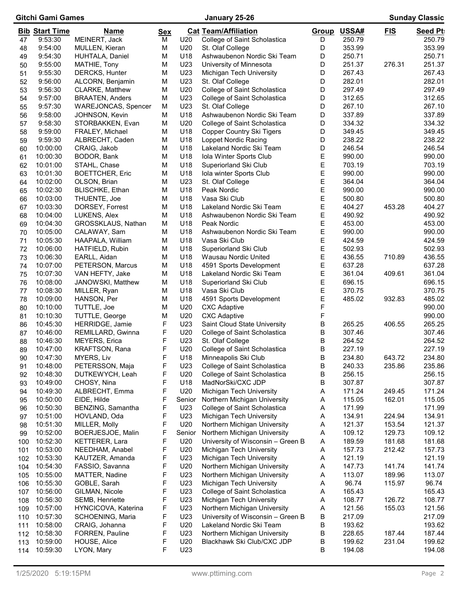# Gitchi Gami Games January 25-26 Sunday Classic

|            | <b>Bib Start Time</b> | <u>Name</u>                            | <b>Sex</b> |                 | <b>Cat Team/Affiliation</b>                              | Group  | USSA#            | <u>FIS</u> | <b>Seed Pt</b>   |
|------------|-----------------------|----------------------------------------|------------|-----------------|----------------------------------------------------------|--------|------------------|------------|------------------|
| 47         | 9:53:30               | MEINERT, Jack                          | м          | U20             | College of Saint Scholastica                             | D      | 250.79           |            | 250.79           |
| 48         | 9:54:00               | MULLEN, Kieran                         | M          | U20             | St. Olaf College                                         | D      | 353.99           |            | 353.99           |
| 49         | 9:54:30               | HUHTALA, Daniel                        | M          | U18             | Ashwaubenon Nordic Ski Team                              | D      | 250.71           |            | 250.71           |
| 50         | 9:55:00               | MATHIE, Tony                           | M          | U23             | University of Minnesota                                  | D      | 251.37           | 276.31     | 251.37           |
| 51         | 9:55:30               | DERCKS, Hunter                         | M          | U23             | Michigan Tech University                                 | D      | 267.43           |            | 267.43           |
| 52         | 9:56:00               | ALCORN, Benjamin                       | M          | U23             | St. Olaf College                                         | D      | 282.01           |            | 282.01           |
| 53         | 9:56:30               | <b>CLARKE, Matthew</b>                 | M          | U20             | College of Saint Scholastica                             | D      | 297.49           |            | 297.49           |
| 54         | 9:57:00               | <b>BRAATEN, Anders</b>                 | M          | U23             | College of Saint Scholastica                             | D      | 312.65           |            | 312.65           |
| 55         | 9:57:30               | <b>WAREJONCAS, Spencer</b>             | M          | U23             | St. Olaf College                                         | D      | 267.10           |            | 267.10           |
| 56         | 9:58:00               | JOHNSON, Kevin                         | M          | U18             | Ashwaubenon Nordic Ski Team                              | D      | 337.89           |            | 337.89           |
| 57         | 9:58:30               | STORBAKKEN, Evan                       | M          | U20             | College of Saint Scholastica                             | D      | 334.32           |            | 334.32           |
| 58         | 9:59:00               | FRALEY, Michael                        | M          | U18             | <b>Copper Country Ski Tigers</b>                         | D      | 349.45           |            | 349.45           |
| 59         | 9:59:30               | ALBRECHT, Caden                        | M          | U18             | Loppet Nordic Racing                                     | D      | 238.22           |            | 238.22           |
| 60         | 10:00:00              | CRAIG, Jakob                           | M          | U18             | Lakeland Nordic Ski Team                                 | D      | 246.54           |            | 246.54           |
| 61         | 10:00:30              | BODOR, Bank                            | M          | U18             | Iola Winter Sports Club                                  | Ε      | 990.00           |            | 990.00           |
| 62         | 10:01:00              | STAHL, Chase                           | M          | U18             | Superiorland Ski Club                                    | E<br>E | 703.19           |            | 703.19           |
| 63         | 10:01:30              | <b>BOETTCHER, Eric</b><br>OLSON, Brian | M<br>M     | U18<br>U23      | Iola winter Sports Club                                  | E      | 990.00           |            | 990.00           |
| 64         | 10:02:00<br>10:02:30  | BLISCHKE, Ethan                        | M          | U18             | St. Olaf College<br>Peak Nordic                          | E      | 364.04<br>990.00 |            | 364.04<br>990.00 |
| 65         | 10:03:00              | THUENTE, Joe                           | M          | U18             | Vasa Ski Club                                            | E      | 500.80           |            | 500.80           |
| 66         | 10:03:30              | DORSEY, Forrest                        | M          | U18             | Lakeland Nordic Ski Team                                 | E      | 404.27           | 453.28     | 404.27           |
| 67         | 10:04:00              | LUKENS, Alex                           | M          | U18             | Ashwaubenon Nordic Ski Team                              | E      | 490.92           |            | 490.92           |
| 68<br>69   | 10:04:30              | GROSSKLAUS, Nathan                     | M          | U18             | Peak Nordic                                              | E      | 453.00           |            | 453.00           |
| 70         | 10:05:00              | CALAWAY, Sam                           | M          | U <sub>18</sub> | Ashwaubenon Nordic Ski Team                              | E      | 990.00           |            | 990.00           |
| 71         | 10:05:30              | HAAPALA, William                       | M          | U18             | Vasa Ski Club                                            | E      | 424.59           |            | 424.59           |
| 72         | 10:06:00              | HATFIELD, Rubin                        | M          | U18             | Superiorland Ski Club                                    | E      | 502.93           |            | 502.93           |
| 73         | 10:06:30              | EARLL, Aidan                           | M          | U18             | <b>Wausau Nordic United</b>                              | E      | 436.55           | 710.89     | 436.55           |
| 74         | 10:07:00              | PETERSON, Marcus                       | M          | U18             | 4591 Sports Development                                  | E      | 637.28           |            | 637.28           |
| 75         | 10:07:30              | VAN HEFTY, Jake                        | M          | U18             | Lakeland Nordic Ski Team                                 | E      | 361.04           | 409.61     | 361.04           |
| 76         | 10:08:00              | JANOWSKI, Matthew                      | M          | U18             | Superiorland Ski Club                                    | E      | 696.15           |            | 696.15           |
| 77         | 10:08:30              | MILLER, Ryan                           | M          | U18             | Vasa Ski Club                                            | E      | 370.75           |            | 370.75           |
| 78         | 10:09:00              | HANSON, Per                            | M          | U18             | 4591 Sports Development                                  | E      | 485.02           | 932.83     | 485.02           |
| 80         | 10:10:00              | TUTTLE, Joe                            | M          | U20             | <b>CXC Adaptive</b>                                      | F      |                  |            | 990.00           |
| 81         | 10:10:30              | TUTTLE, George                         | M          | U20             | <b>CXC Adaptive</b>                                      | F      |                  |            | 990.00           |
| 86         | 10:45:30              | HERRIDGE, Jamie                        | F          | U23             | Saint Cloud State University                             | B      | 265.25           | 406.55     | 265.25           |
| 87         | 10:46:00              | REMILLARD, Gwinna                      | F          | U20             | College of Saint Scholastica                             | В      | 307.46           |            | 307.46           |
| 88         | 10:46:30              | <b>MEYERS, Erica</b>                   | F          | U23             | St. Olaf College                                         | В      | 264.52           |            | 264.52           |
| 89         | 10:47:00              | <b>KRAFTSON, Rana</b>                  | F          | U20             | College of Saint Scholastica                             | В      | 227.19           |            | 227.19           |
| 90         | 10:47:30              | MYERS, Liv                             | F          | U18             | Minneapolis Ski Club                                     | B      | 234.80           | 643.72     | 234.80           |
| 91         | 10:48:00              | PETERSSON, Maja                        | F          | U23             | College of Saint Scholastica                             | В      | 240.33           | 235.86     | 235.86           |
| 92         | 10:48:30              | DUTKEWYCH, Leah                        | F          | U20             | College of Saint Scholastica                             | В      | 256.15           |            | 256.15           |
| 93         | 10:49:00              | CHOSY, Nina                            | F          | U18             | MadNorSki/CXC JDP                                        | В      | 307.87           |            | 307.87           |
| 94         | 10:49:30              | ALBRECHT, Emma                         | F          | U20             | Michigan Tech University                                 | Α      | 171.24           | 249.45     | 171.24           |
| 95         | 10:50:00              | EIDE, Hilde                            | F          | Senior          | Northern Michigan University                             | A      | 115.05           | 162.01     | 115.05           |
| 96         | 10:50:30              | BENZING, Samantha                      | F          | U23             | College of Saint Scholastica                             | A      | 171.99           |            | 171.99           |
| 97         | 10:51:00              | HOVLAND, Oda                           | F          | U23             | Michigan Tech University                                 | A      | 134.91           | 224.94     | 134.91           |
| 98         | 10:51:30              | MILLER, Molly                          | F          | U20             | Northern Michigan University                             | A      | 121.37           | 153.54     | 121.37           |
| 99         | 10:52:00              | BOERJESJOE, Malin                      | F          | Senior          | Northern Michigan University                             | A      | 109.12           | 129.73     | 109.12           |
| 100        | 10:52:30              | KETTERER, Lara                         | F          | U20             | University of Wisconsin - Green B                        | A      | 189.59           | 181.68     | 181.68           |
| 101        | 10:53:00              | NEEDHAM, Anabel                        | F          | U20             | Michigan Tech University                                 | A      | 157.73           | 212.42     | 157.73           |
| 102        | 10:53:30              | KAUTZER, Amanda                        | F          | U23             | Michigan Tech University                                 | A      | 121.19           |            | 121.19           |
| 104        | 10:54:30              | FASSIO, Savanna                        | F          | U20             | Northern Michigan University                             | A      | 147.73           | 141.74     | 141.74           |
| 105        | 10:55:00              | <b>MATTER, Nadine</b>                  | F          | U23             | Northern Michigan University                             | A      | 113.07           | 189.96     | 113.07           |
| 106        | 10:55:30              | GOBLE, Sarah                           | F          | U23             | Michigan Tech University                                 | A      | 96.74            | 115.97     | 96.74            |
| 107        | 10:56:00              | GILMAN, Nicole                         | F          | U23             | College of Saint Scholastica                             | A      | 165.43           |            | 165.43           |
| 108        | 10:56:30              | SEMB, Henriette                        | F          | U23             | Michigan Tech University                                 | Α      | 108.77           | 126.72     | 108.77           |
| 109        | 10:57:00              | HYNCICOVA, Katerina                    | F          | U23             | Northern Michigan University                             | A      | 121.56           | 155.03     | 121.56           |
| 110        | 10:57:30              | SCHOENING, Maria                       | F          | U23             | University of Wisconsin - Green B                        | В      | 217.09           |            | 217.09           |
| 111        | 10:58:00<br>10:58:30  | CRAIG, Johanna                         | F<br>F     | U20<br>U23      | Lakeland Nordic Ski Team<br>Northern Michigan University | В<br>В | 193.62<br>228.65 | 187.44     | 193.62<br>187.44 |
| 112<br>113 | 10:59:00              | FORREN, Pauline<br>HOUSE, Alice        | F          | U20             | Blackhawk Ski Club/CXC JDP                               | В      | 199.62           | 231.04     | 199.62           |
| 114        | 10:59:30              | LYON, Mary                             | F          | U23             |                                                          | В      | 194.08           |            | 194.08           |
|            |                       |                                        |            |                 |                                                          |        |                  |            |                  |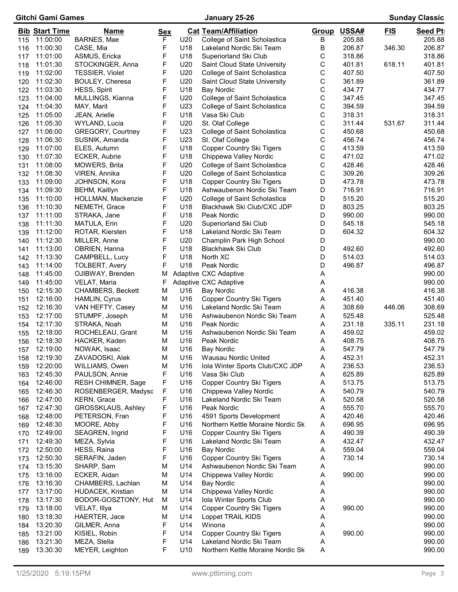# Gitchi Gami Games **Manual Classic** January 25-26 **Sunday Classic** Sunday Classic

|            | <b>Bib Start Time</b> | <b>Name</b>                             | <u>Sex</u> |                 | <b>Cat Team/Affiliation</b>                                  | Group  | USSA#            | <b>FIS</b> | <b>Seed Pt</b>   |
|------------|-----------------------|-----------------------------------------|------------|-----------------|--------------------------------------------------------------|--------|------------------|------------|------------------|
| 115        | 11:00:00              | BARNES, Mae                             | F          | U20             | College of Saint Scholastica                                 | В      | 205.88           |            | 205.88           |
| 116        | 11:00:30              | CASE, Mia                               | F          | U18             | Lakeland Nordic Ski Team                                     | В      | 206.87           | 346.30     | 206.87           |
| 117        | 11:01:00              | ASMUS, Ericka                           | F          | U18             | Superiorland Ski Club                                        | С      | 318.86           |            | 318.86           |
| 118        | 11:01:30              | STOCKINGER, Anna                        | F          | U20             | Saint Cloud State University                                 | С      | 401.81           | 618.11     | 401.81           |
| 119        | 11:02:00              | TESSIER, Violet                         | F          | U20             | College of Saint Scholastica                                 | С      | 407.50           |            | 407.50           |
| 120        | 11:02:30              | BOULEY, Cheresa                         | F          | U20             | Saint Cloud State University                                 | С      | 361.89           |            | 361.89           |
| 122        | 11:03:30              | HESS, Spirit                            | F          | U18             | <b>Bay Nordic</b>                                            | C      | 434.77           |            | 434.77           |
| 123        | 11:04:00              | MULLINGS, Kianna                        | F          | U20             | College of Saint Scholastica                                 | С      | 347.45           |            | 347.45           |
| 124        | 11:04:30              | MAY, Marit                              | F          | U23             | College of Saint Scholastica                                 | С      | 394.59           |            | 394.59           |
| 125        | 11:05:00              | JEAN, Arielle                           | F          | U18             | Vasa Ski Club                                                | С      | 318.31           |            | 318.31           |
| 126        | 11:05:30              | WYLAND, Lucia                           | F          | U20             | St. Olaf College                                             | C      | 311.44           | 531.67     | 311.44           |
| 127        | 11:06:00              | GREGORY, Courtney                       | F          | U23             | College of Saint Scholastica                                 | С      | 450.68           |            | 450.68           |
| 128        | 11:06:30              | SUSNIK, Amanda                          | F          | U23             | St. Olaf College                                             | С      | 456.74           |            | 456.74           |
| 129        | 11:07:00              | ELES, Autumn                            | F          | U18             | <b>Copper Country Ski Tigers</b>                             | C      | 413.59           |            | 413.59           |
| 130        | 11:07:30              | ECKER, Aubrie                           | F          | U18             | Chippewa Valley Nordic                                       | С      | 471.02           |            | 471.02           |
| 131        | 11:08:00              | MOWERS, Brita                           | F          | U20             | College of Saint Scholastica                                 | С      | 428.46           |            | 428.46           |
| 132        | 11:08:30              | VIREN, Annika                           | F          | U20             | College of Saint Scholastica                                 | С      | 309.26           |            | 309.26           |
| 133        | 11:09:00              | JOHNSON, Kora                           | F          | U18             | <b>Copper Country Ski Tigers</b>                             | D      | 473.78           |            | 473.78           |
| 134        | 11:09:30              | <b>BEHM, Kaitlyn</b>                    | F          | U18             | Ashwaubenon Nordic Ski Team                                  | D      | 716.91           |            | 716.91           |
| 135        | 11:10:00              | HOLLMAN, Mackenzie                      | F          | U20             | College of Saint Scholastica                                 | D      | 515.20           |            | 515.20           |
| 136        | 11:10:30              | NEMETH, Grace                           | F          | U18             | Blackhawk Ski Club/CXC JDP                                   | D      | 803.25           |            | 803.25           |
| 137        | 11:11:00              | STRAKA, Jane                            | F          | U18             | Peak Nordic                                                  | D      | 990.00           |            | 990.00           |
| 138        | 11:11:30              | MATULA, Erin                            | F          | U20             | Superiorland Ski Club                                        | D      | 545.18           |            | 545.18           |
| 139        | 11:12:00              | ROTAR, Kiersten                         | F<br>F     | U18             | Lakeland Nordic Ski Team                                     | D      | 604.32           |            | 604.32           |
| 140        | 11:12:30<br>11:13:00  | MILLER, Anne                            | F          | U20<br>U18      | Champlin Park High School                                    | D<br>D | 492.60           |            | 990.00           |
| 141        | 11:13:30              | OBRIEN, Hanna                           | F          | U18             | Blackhawk Ski Club<br>North XC                               | D      |                  |            | 492.60           |
| 142        | 11:14:00              | CAMPBELL, Lucy<br><b>TOLBERT, Avery</b> | F          | U18             | Peak Nordic                                                  | D      | 514.03<br>496.87 |            | 514.03<br>496.87 |
| 143        | 11:45:00              | OJIBWAY, Brenden                        | M          |                 | Adaptive CXC Adaptive                                        | Α      |                  |            | 990.00           |
| 148<br>149 | 11:45:00              | VELAT, Maria                            | F          |                 | Adaptive CXC Adaptive                                        | A      |                  |            | 990.00           |
| 150        | 12:15:30              | CHAMBERS, Beckett                       | М          | U16             | Bay Nordic                                                   | Α      | 416.38           |            | 416.38           |
| 151        | 12:16:00              | HAMLIN, Cyrus                           | M          | U16             | <b>Copper Country Ski Tigers</b>                             | A      | 451.40           |            | 451.40           |
| 152        | 12:16:30              | VAN HEFTY, Casey                        | M          | U16             | Lakeland Nordic Ski Team                                     | A      | 308.69           | 446.06     | 308.69           |
| 153        | 12:17:00              | STUMPF, Joseph                          | M          | U16             | Ashwaubenon Nordic Ski Team                                  | A      | 525.48           |            | 525.48           |
| 154        | 12:17:30              | STRAKA, Noah                            | M          | U16             | Peak Nordic                                                  | Α      | 231.18           | 335.11     | 231.18           |
| 155        | 12:18:00              | ROCHELEAU, Grant                        | M          | U16             | Ashwaubenon Nordic Ski Team                                  | Α      | 459.02           |            | 459.02           |
| 156        | 12:18:30              | HACKER, Kaden                           | M          | U16             | Peak Nordic                                                  | A      | 408.75           |            | 408.75           |
| 157        | 12:19:00              | NOWAK, Isaac                            | M          | U16             | Bay Nordic                                                   | Α      | 547.79           |            | 547.79           |
| 158        | 12:19:30              | ZAVADOSKI, Alek                         | M          | U16             | Wausau Nordic United                                         | A      | 452.31           |            | 452.31           |
| 159        | 12:20:00              | WILLIAMS, Owen                          | M          | U16             | Iola Winter Sports Club/CXC JDP                              | A      | 236.53           |            | 236.53           |
| 163        | 12:45:30              | PAULSON, Annie                          | F          | U16             | Vasa Ski Club                                                | A      | 625.89           |            | 625.89           |
| 164        | 12:46:00              | RESH CHIMNER, Sage                      | F          | U16             | <b>Copper Country Ski Tigers</b>                             | A      | 513.75           |            | 513.75           |
| 165        | 12:46:30              | ROSENBERGER, Madysc                     | F          | U16             | Chippewa Valley Nordic                                       | A      | 540.79           |            | 540.79           |
| 166        | 12:47:00              | KERN, Grace                             | F          | U16             | Lakeland Nordic Ski Team                                     | A      | 520.58           |            | 520.58           |
|            | 167 12:47:30          | GROSSKLAUS, Ashley                      | F          | U16             | Peak Nordic                                                  | Α      | 555.70           |            | 555.70           |
| 168        | 12:48:00              | PETERSON, Fran                          | F          | U16             | 4591 Sports Development                                      | A      | 420.46           |            | 420.46           |
| 169        | 12:48:30              | MOORE, Abby                             | F          | U16             | Northern Kettle Moraine Nordic Sk                            | A      | 696.95           |            | 696.95           |
| 170        | 12:49:00              | SEAGREN, Ingrid                         | F          | U16             | <b>Copper Country Ski Tigers</b>                             | A      | 490.39           |            | 490.39           |
| 171        | 12:49:30              | MEZA, Sylvia                            | F          | U16             | Lakeland Nordic Ski Team                                     | A      | 432.47           |            | 432.47           |
| 172        | 12:50:00              | HESS, Raina                             | F          | U16             | <b>Bay Nordic</b>                                            | A      | 559.04           |            | 559.04           |
| 173        | 12:50:30              | SERAFIN, Jaden                          | F          | U16             | <b>Copper Country Ski Tigers</b>                             | A      | 730.14           |            | 730.14           |
| 174        | 13:15:30              | SHARP, Sam                              | M          | U14             | Ashwaubenon Nordic Ski Team                                  | A      |                  |            | 990.00           |
| 175        | 13:16:00              | ECKER, Aidan                            | М          | U14             | Chippewa Valley Nordic                                       | A      | 990.00           |            | 990.00           |
| 176        | 13:16:30              | CHAMBERS, Lachlan                       | М          | U14             | <b>Bay Nordic</b>                                            | A      |                  |            | 990.00           |
| 177        | 13:17:00              | HUDACEK, Kristian                       | M          | U14             | Chippewa Valley Nordic                                       | A      |                  |            | 990.00           |
| 178        | 13:17:30              | BODOR-GOSZTONY, Hul                     | М          | U14             | Iola Winter Sports Club                                      | A      |                  |            | 990.00           |
| 179        | 13:18:00              | VELAT, Illya                            | M          | U14             | <b>Copper Country Ski Tigers</b>                             | A      | 990.00           |            | 990.00           |
| 180        | 13:18:30              | HAERTER, Jace                           | M          | U14             | Loppet TRAIL KIDS                                            | A      |                  |            | 990.00           |
| 184        | 13:20:30              | GILMER, Anna                            | F          | U14             | Winona                                                       | A      |                  |            | 990.00           |
| 185        | 13:21:00              | KISIEL, Robin<br>MEZA, Stella           | F<br>F     | U14<br>U14      | <b>Copper Country Ski Tigers</b><br>Lakeland Nordic Ski Team | A      | 990.00           |            | 990.00<br>990.00 |
| 186        | 13:21:30<br>13:30:30  | MEYER, Leighton                         | F          | U <sub>10</sub> | Northern Kettle Moraine Nordic Sk                            | A<br>A |                  |            | 990.00           |
| 189        |                       |                                         |            |                 |                                                              |        |                  |            |                  |